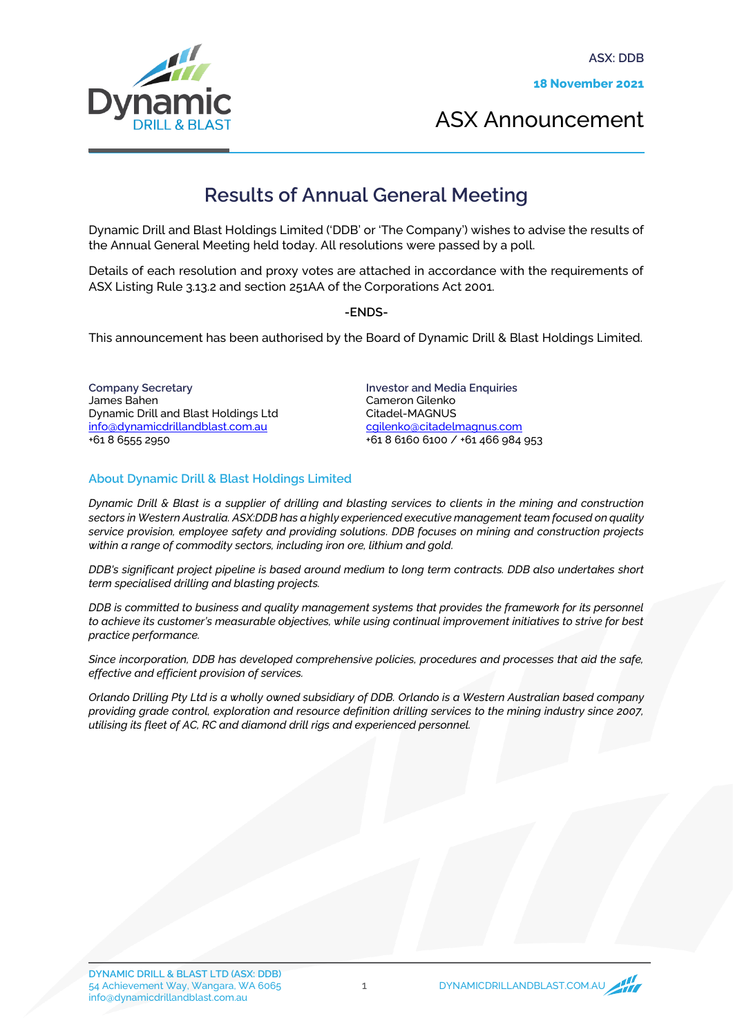

ASX Announcement

## **Results of Annual General Meeting**

Dynamic Drill and Blast Holdings Limited ('DDB' or 'The Company') wishes to advise the results of the Annual General Meeting held today. All resolutions were passed by a poll.

Details of each resolution and proxy votes are attached in accordance with the requirements of ASX Listing Rule 3.13.2 and section 251AA of the Corporations Act 2001.

## -ENDS-

This announcement has been authorised by the Board of Dynamic Drill & Blast Holdings Limited.

Company Secretary James Bahen Dynamic Drill and Blast Holdings Ltd info@dynamicdrillandblast.com.au +61 8 6555 2950

Investor and Media Enquiries Cameron Gilenko Citadel-MAGNUS [cgilenko@citadelmagnus.com](mailto:cgilenko@citadelmagnus.com) +61 8 6160 6100 / +61 466 984 953

## About Dynamic Drill & Blast Holdings Limited

*Dynamic Drill & Blast is a supplier of drilling and blasting services to clients in the mining and construction sectors in Western Australia. ASX:DDB has a highly experienced executive management team focused on quality service provision, employee safety and providing solutions. DDB focuses on mining and construction projects within a range of commodity sectors, including iron ore, lithium and gold.*

*DDB's significant project pipeline is based around medium to long term contracts. DDB also undertakes short term specialised drilling and blasting projects.*

*DDB is committed to business and quality management systems that provides the framework for its personnel to achieve its customer's measurable objectives, while using continual improvement initiatives to strive for best practice performance.*

*Since incorporation, DDB has developed comprehensive policies, procedures and processes that aid the safe, effective and efficient provision of services.*

*Orlando Drilling Pty Ltd is a wholly owned subsidiary of DDB. Orlando is a Western Australian based company providing grade control, exploration and resource definition drilling services to the mining industry since 2007, utilising its fleet of AC, RC and diamond drill rigs and experienced personnel.*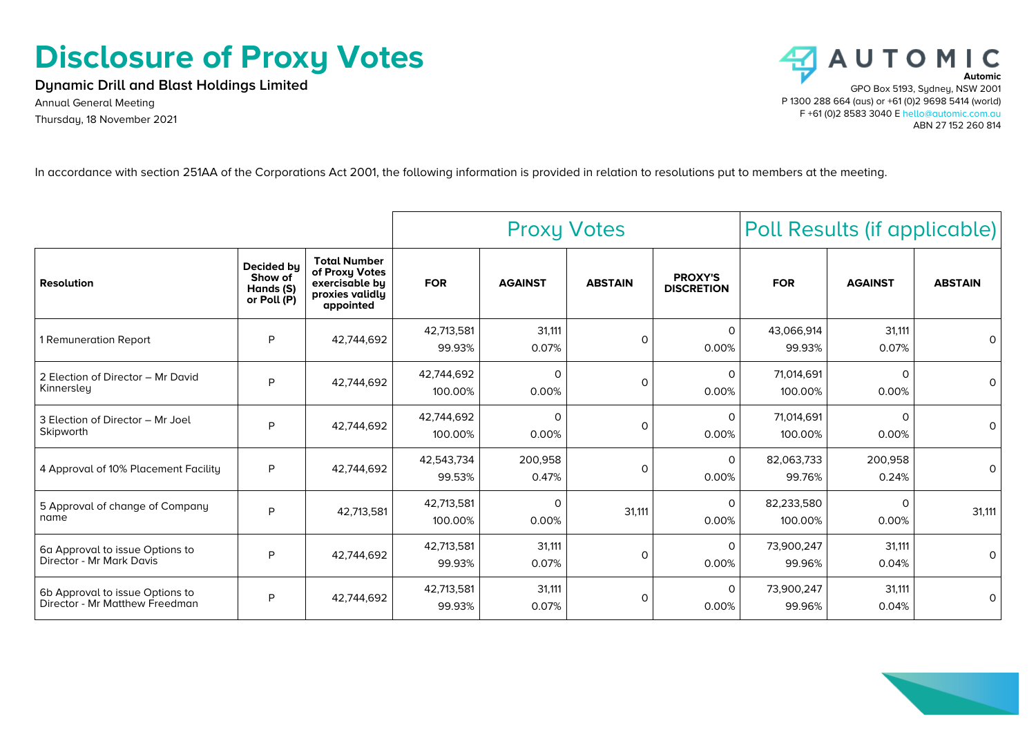## **Disclosure of Proxy Votes**

**Dynamic Drill and Blast Holdings Limited**

Annual General Meeting Thursday, 18 November 2021



In accordance with section 251AA of the Corporations Act 2001, the following information is provided in relation to resolutions put to members at the meeting.

|                                                                   |                                                   |                                                                                         | <b>Proxy Votes</b>    |                   |                | Poll Results (if applicable)        |                       |                  |                |
|-------------------------------------------------------------------|---------------------------------------------------|-----------------------------------------------------------------------------------------|-----------------------|-------------------|----------------|-------------------------------------|-----------------------|------------------|----------------|
| <b>Resolution</b>                                                 | Decided bu<br>Show of<br>Hands (S)<br>or Poll (P) | <b>Total Number</b><br>of Proxy Votes<br>exercisable by<br>proxies validly<br>appointed | <b>FOR</b>            | <b>AGAINST</b>    | <b>ABSTAIN</b> | <b>PROXY'S</b><br><b>DISCRETION</b> | <b>FOR</b>            | <b>AGAINST</b>   | <b>ABSTAIN</b> |
| 1 Remuneration Report                                             | P                                                 | 42,744,692                                                                              | 42,713,581<br>99.93%  | 31.111<br>0.07%   | $\Omega$       | $\mathsf{O}$<br>0.00%               | 43,066,914<br>99.93%  | 31,111<br>0.07%  | 0              |
| 2 Election of Director - Mr David<br>Kinnersley                   | P                                                 | 42,744,692                                                                              | 42,744,692<br>100.00% | 0<br>0.00%        | $\Omega$       | 0<br>0.00%                          | 71,014,691<br>100.00% | 0<br>0.00%       | $\Omega$       |
| 3 Election of Director - Mr Joel<br>Skipworth                     | P                                                 | 42,744,692                                                                              | 42,744,692<br>100.00% | $\Omega$<br>0.00% | $\Omega$       | $\Omega$<br>0.00%                   | 71,014,691<br>100.00% | 0<br>0.00%       | $\Omega$       |
| 4 Approval of 10% Placement Facility                              | P                                                 | 42,744,692                                                                              | 42,543,734<br>99.53%  | 200,958<br>0.47%  | $\Omega$       | $\Omega$<br>0.00%                   | 82,063,733<br>99.76%  | 200,958<br>0.24% | 0              |
| 5 Approval of change of Company<br>name                           | P                                                 | 42,713,581                                                                              | 42,713,581<br>100.00% | 0<br>0.00%        | 31,111         | $\Omega$<br>0.00%                   | 82,233,580<br>100.00% | 0<br>0.00%       | 31,111         |
| 6a Approval to issue Options to<br>Director - Mr Mark Davis       | P                                                 | 42.744.692                                                                              | 42,713,581<br>99.93%  | 31,111<br>0.07%   | $\Omega$       | $\Omega$<br>0.00%                   | 73,900,247<br>99.96%  | 31,111<br>0.04%  | 0              |
| 6b Approval to issue Options to<br>Director - Mr Matthew Freedman | P                                                 | 42.744.692                                                                              | 42,713,581<br>99.93%  | 31,111<br>0.07%   | $\circ$        | $\Omega$<br>0.00%                   | 73,900,247<br>99.96%  | 31,111<br>0.04%  | 0              |